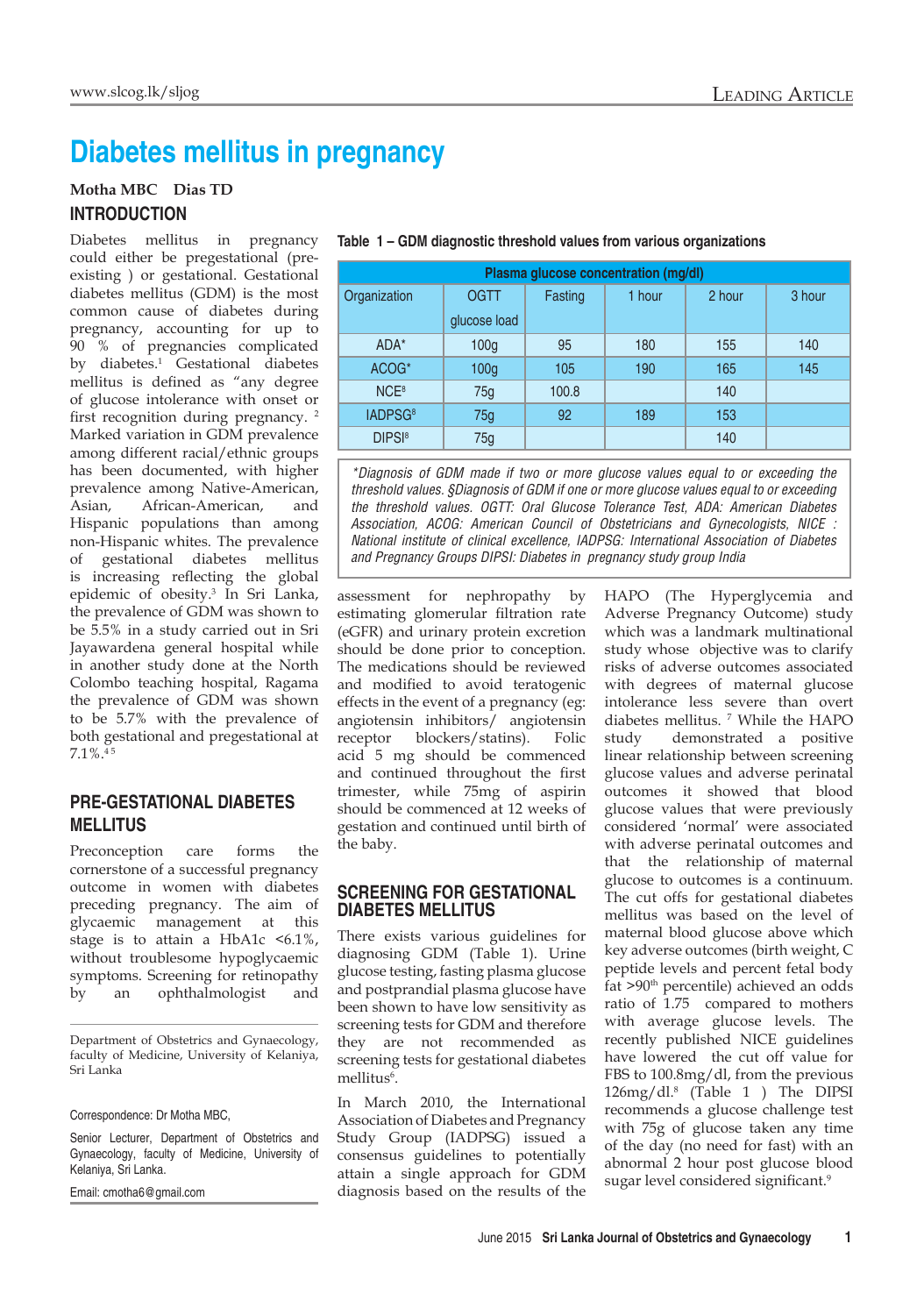# **Diabetes mellitus in pregnancy**

## **Motha MBC Dias TD INTRODUCTION**

Diabetes mellitus in pregnancy could either be pregestational (preexisting ) or gestational. Gestational diabetes mellitus (GDM) is the most common cause of diabetes during pregnancy, accounting for up to 90 % of pregnancies complicated by diabetes.1 Gestational diabetes mellitus is defined as "any degree of glucose intolerance with onset or first recognition during pregnancy.<sup>2</sup> Marked variation in GDM prevalence among different racial/ethnic groups has been documented, with higher prevalence among Native-American, Asian, African-American, and Hispanic populations than among non-Hispanic whites. The prevalence of gestational diabetes mellitus is increasing reflecting the global epidemic of obesity.3 In Sri Lanka, the prevalence of GDM was shown to be 5.5% in a study carried out in Sri Jayawardena general hospital while in another study done at the North Colombo teaching hospital, Ragama the prevalence of GDM was shown to be 5.7% with the prevalence of both gestational and pregestational at 7.1%.4 5

# **PRE-GESTATIONAL DIABETES MELLITUS**

Preconception care forms the cornerstone of a successful pregnancy outcome in women with diabetes preceding pregnancy. The aim of glycaemic management at this stage is to attain a HbA1c <6.1%, without troublesome hypoglycaemic symptoms. Screening for retinopathy by an ophthalmologist and

Department of Obstetrics and Gynaecology, faculty of Medicine, University of Kelaniya, Sri Lanka

#### Correspondence: Dr Motha MBC,

Senior Lecturer, Department of Obstetrics and Gynaecology, faculty of Medicine, University of Kelaniya, Sri Lanka.

Email: cmotha6@gmail.com

| Plasma glucose concentration (mg/dl) |                  |         |        |        |        |  |
|--------------------------------------|------------------|---------|--------|--------|--------|--|
| Organization                         | <b>OGTT</b>      | Fasting | 1 hour | 2 hour | 3 hour |  |
|                                      | glucose load     |         |        |        |        |  |
| ADA*                                 | 100 <sub>g</sub> | 95      | 180    | 155    | 140    |  |
| ACOG*                                | 100 <sub>g</sub> | 105     | 190    | 165    | 145    |  |
| NCE <sup>8</sup>                     | 75g              | 100.8   |        | 140    |        |  |
| IADPSG <sup>8</sup>                  | 75g              | 92      | 189    | 153    |        |  |
| <b>DIPSI</b> <sup>8</sup>            | 75g              |         |        | 140    |        |  |

#### **Table 1 – GDM diagnostic threshold values from various organizations**

*\*Diagnosis of GDM made if two or more glucose values equal to or exceeding the threshold values. §Diagnosis of GDM if one or more glucose values equal to or exceeding the threshold values. OGTT: Oral Glucose Tolerance Test, ADA: American Diabetes Association, ACOG: American Council of Obstetricians and Gynecologists, NICE : National institute of clinical excellence, IADPSG: International Association of Diabetes and Pregnancy Groups DIPSI: Diabetes in pregnancy study group India*

assessment for nephropathy by estimating glomerular filtration rate (eGFR) and urinary protein excretion should be done prior to conception. The medications should be reviewed and modified to avoid teratogenic effects in the event of a pregnancy (eg: angiotensin inhibitors/ angiotensin receptor blockers/statins). Folic acid 5 mg should be commenced and continued throughout the first trimester, while 75mg of aspirin should be commenced at 12 weeks of gestation and continued until birth of the baby.

#### **SCREENING FOR GESTATIONAL DIABETES MELLITUS**

There exists various guidelines for diagnosing GDM (Table 1). Urine glucose testing, fasting plasma glucose and postprandial plasma glucose have been shown to have low sensitivity as screening tests for GDM and therefore they are not recommended as screening tests for gestational diabetes mellitus<sup>6</sup>.

In March 2010, the International Association of Diabetes and Pregnancy Study Group (IADPSG) issued a consensus guidelines to potentially attain a single approach for GDM diagnosis based on the results of the HAPO (The Hyperglycemia and Adverse Pregnancy Outcome) study which was a landmark multinational study whose objective was to clarify risks of adverse outcomes associated with degrees of maternal glucose intolerance less severe than overt diabetes mellitus. 7 While the HAPO study demonstrated a positive linear relationship between screening glucose values and adverse perinatal outcomes it showed that blood glucose values that were previously considered 'normal' were associated with adverse perinatal outcomes and that the relationship of maternal glucose to outcomes is a continuum. The cut offs for gestational diabetes mellitus was based on the level of maternal blood glucose above which key adverse outcomes (birth weight, C peptide levels and percent fetal body fat >90th percentile) achieved an odds ratio of 1.75 compared to mothers with average glucose levels. The recently published NICE guidelines have lowered the cut off value for FBS to 100.8mg/dl, from the previous 126mg/dl.8 (Table 1 ) The DIPSI recommends a glucose challenge test with 75g of glucose taken any time of the day (no need for fast) with an abnormal 2 hour post glucose blood sugar level considered significant.<sup>9</sup>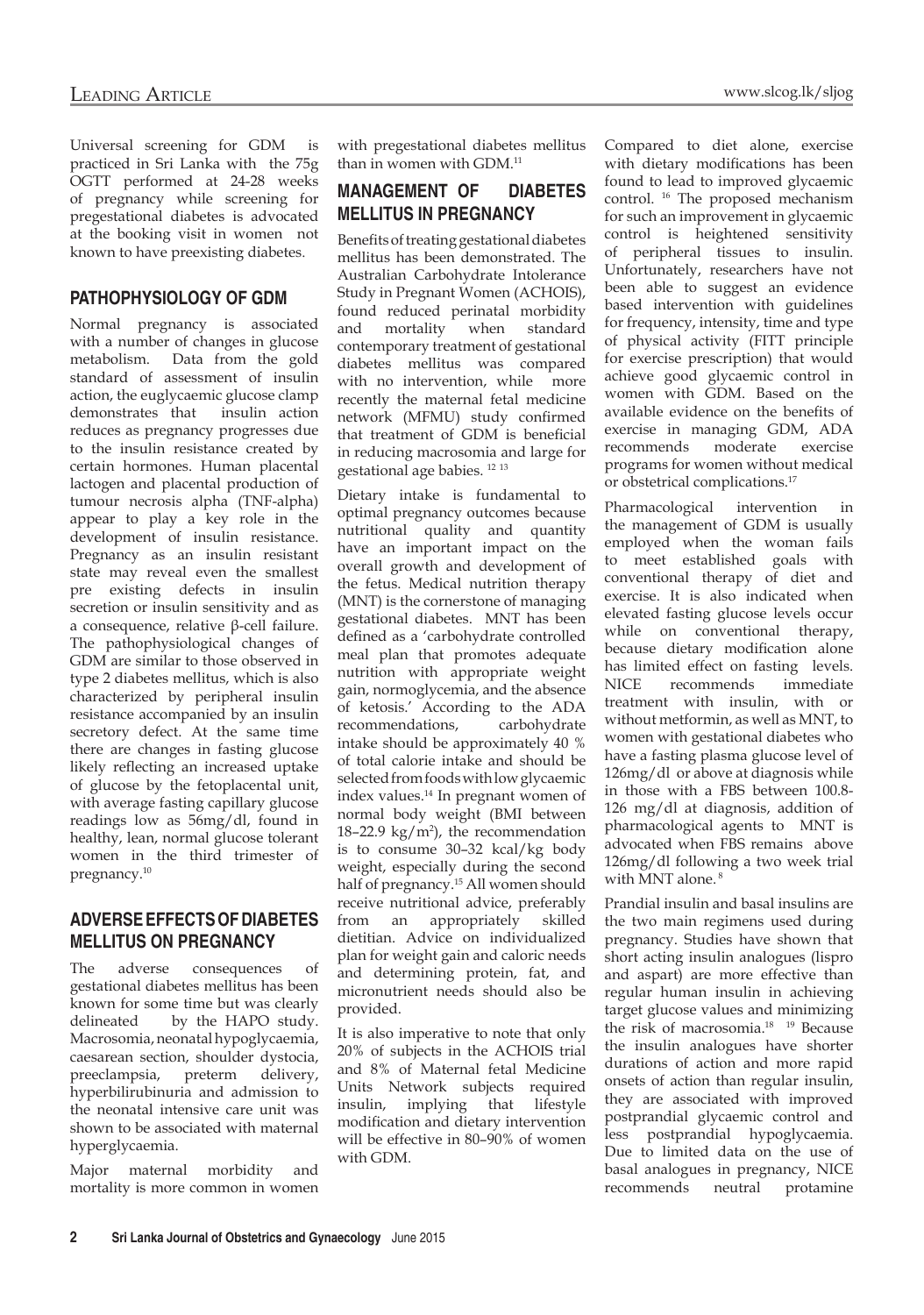Universal screening for GDM is practiced in Sri Lanka with the 75g OGTT performed at 24-28 weeks of pregnancy while screening for pregestational diabetes is advocated at the booking visit in women not known to have preexisting diabetes.

# **PATHOPHYSIOLOGY OF GDM**

Normal pregnancy is associated with a number of changes in glucose metabolism. Data from the gold standard of assessment of insulin action, the euglycaemic glucose clamp<br>demonstrates that insulin action demonstrates that reduces as pregnancy progresses due to the insulin resistance created by certain hormones. Human placental lactogen and placental production of tumour necrosis alpha (TNF-alpha) appear to play a key role in the development of insulin resistance. Pregnancy as an insulin resistant state may reveal even the smallest pre existing defects in insulin secretion or insulin sensitivity and as a consequence, relative β-cell failure. The pathophysiological changes of GDM are similar to those observed in type 2 diabetes mellitus, which is also characterized by peripheral insulin resistance accompanied by an insulin secretory defect. At the same time there are changes in fasting glucose likely reflecting an increased uptake of glucose by the fetoplacental unit, with average fasting capillary glucose readings low as 56mg/dl, found in healthy, lean, normal glucose tolerant women in the third trimester of pregnancy.10

# **ADVERSE EFFECTS OF DIABETES MELLITUS ON PREGNANCY**

The adverse consequences of gestational diabetes mellitus has been known for some time but was clearly delineated by the HAPO study. Macrosomia, neonatal hypoglycaemia, caesarean section, shoulder dystocia, preeclampsia, preterm delivery, hyperbilirubinuria and admission to the neonatal intensive care unit was shown to be associated with maternal hyperglycaemia.

Major maternal morbidity and mortality is more common in women with pregestational diabetes mellitus than in women with GDM.<sup>11</sup>

# **MANAGEMENT OF DIABETES MELLITUS IN PREGNANCY**

Benefits of treating gestational diabetes mellitus has been demonstrated. The Australian Carbohydrate Intolerance Study in Pregnant Women (ACHOIS), found reduced perinatal morbidity and mortality when standard contemporary treatment of gestational diabetes mellitus was compared with no intervention, while more recently the maternal fetal medicine network (MFMU) study confirmed that treatment of GDM is beneficial in reducing macrosomia and large for gestational age babies. 12 <sup>13</sup>

Dietary intake is fundamental to optimal pregnancy outcomes because nutritional quality and quantity have an important impact on the overall growth and development of the fetus. Medical nutrition therapy (MNT) is the cornerstone of managing gestational diabetes. MNT has been defined as a 'carbohydrate controlled meal plan that promotes adequate nutrition with appropriate weight gain, normoglycemia, and the absence of ketosis.' According to the ADA recommendations. carbohydrate recommendations. intake should be approximately 40 % of total calorie intake and should be selected from foods with low glycaemic index values.14 In pregnant women of normal body weight (BMI between  $18 - 22.9 \text{ kg/m}^2$ , the recommendation is to consume 30–32 kcal/kg body weight, especially during the second half of pregnancy.15 All women should receive nutritional advice, preferably from an appropriately skilled dietitian. Advice on individualized plan for weight gain and caloric needs and determining protein, fat, and micronutrient needs should also be provided.

It is also imperative to note that only 20% of subjects in the ACHOIS trial and 8% of Maternal fetal Medicine Units Network subjects required insulin, implying that lifestyle modification and dietary intervention will be effective in 80–90% of women with GDM.

Compared to diet alone, exercise with dietary modifications has been found to lead to improved glycaemic control. 16 The proposed mechanism for such an improvement in glycaemic control is heightened sensitivity of peripheral tissues to insulin. Unfortunately, researchers have not been able to suggest an evidence based intervention with guidelines for frequency, intensity, time and type of physical activity (FITT principle for exercise prescription) that would achieve good glycaemic control in women with GDM. Based on the available evidence on the benefits of exercise in managing GDM, ADA recommends moderate exercise programs for women without medical or obstetrical complications.17

Pharmacological intervention in the management of GDM is usually employed when the woman fails to meet established goals with conventional therapy of diet and exercise. It is also indicated when elevated fasting glucose levels occur while on conventional therapy, because dietary modification alone has limited effect on fasting levels. NICE recommends immediate treatment with insulin, with or without metformin, as well as MNT, to women with gestational diabetes who have a fasting plasma glucose level of 126mg/dl or above at diagnosis while in those with a FBS between 100.8- 126 mg/dl at diagnosis, addition of pharmacological agents to MNT is advocated when FBS remains above 126mg/dl following a two week trial with MNT alone. 8

Prandial insulin and basal insulins are the two main regimens used during pregnancy. Studies have shown that short acting insulin analogues (lispro and aspart) are more effective than regular human insulin in achieving target glucose values and minimizing the risk of macrosomia.<sup>18</sup> <sup>19</sup> Because the insulin analogues have shorter durations of action and more rapid onsets of action than regular insulin, they are associated with improved postprandial glycaemic control and less postprandial hypoglycaemia. Due to limited data on the use of basal analogues in pregnancy, NICE recommends neutral protamine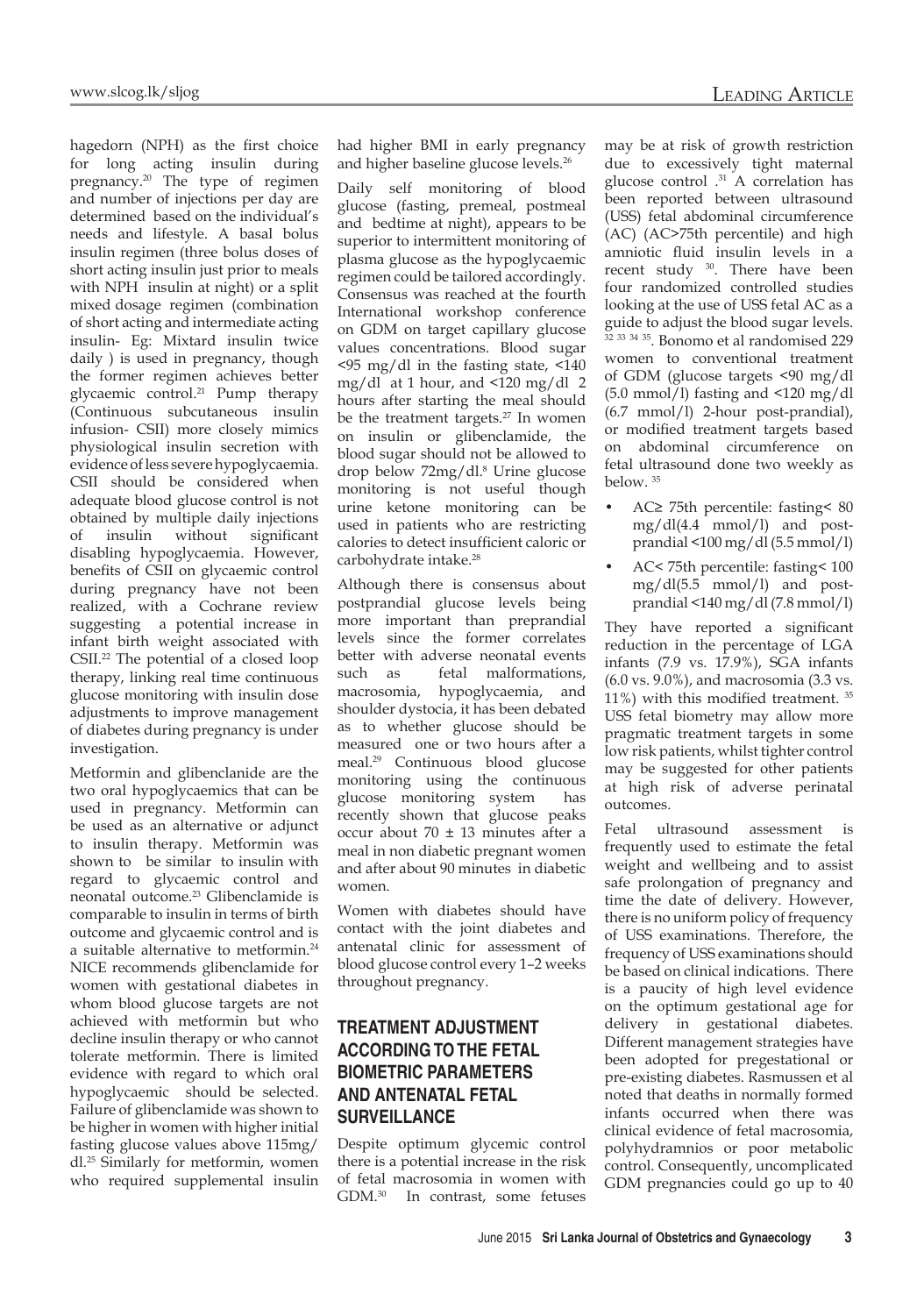hagedorn (NPH) as the first choice for long acting insulin during pregnancy.20 The type of regimen and number of injections per day are determined based on the individual's needs and lifestyle. A basal bolus insulin regimen (three bolus doses of short acting insulin just prior to meals with NPH insulin at night) or a split mixed dosage regimen (combination of short acting and intermediate acting insulin- Eg: Mixtard insulin twice daily ) is used in pregnancy, though the former regimen achieves better glycaemic control.21 Pump therapy (Continuous subcutaneous insulin infusion- CSII) more closely mimics physiological insulin secretion with evidence of less severe hypoglycaemia. CSII should be considered when adequate blood glucose control is not obtained by multiple daily injections of insulin without significant disabling hypoglycaemia. However, benefits of CSII on glycaemic control during pregnancy have not been realized, with a Cochrane review suggesting a potential increase in infant birth weight associated with CSII.22 The potential of a closed loop therapy, linking real time continuous glucose monitoring with insulin dose adjustments to improve management of diabetes during pregnancy is under investigation.

Metformin and glibenclanide are the two oral hypoglycaemics that can be used in pregnancy. Metformin can be used as an alternative or adjunct to insulin therapy. Metformin was shown to be similar to insulin with regard to glycaemic control and neonatal outcome.23 Glibenclamide is comparable to insulin in terms of birth outcome and glycaemic control and is a suitable alternative to metformin.24 NICE recommends glibenclamide for women with gestational diabetes in whom blood glucose targets are not achieved with metformin but who decline insulin therapy or who cannot tolerate metformin. There is limited evidence with regard to which oral hypoglycaemic should be selected. Failure of glibenclamide was shown to be higher in women with higher initial fasting glucose values above 115mg/ dl.25 Similarly for metformin, women who required supplemental insulin had higher BMI in early pregnancy and higher baseline glucose levels.26

Daily self monitoring of blood glucose (fasting, premeal, postmeal and bedtime at night), appears to be superior to intermittent monitoring of plasma glucose as the hypoglycaemic regimen could be tailored accordingly. Consensus was reached at the fourth International workshop conference on GDM on target capillary glucose values concentrations. Blood sugar <95 mg/dl in the fasting state, <140 mg/dl at 1 hour, and <120 mg/dl 2 hours after starting the meal should be the treatment targets.<sup>27</sup> In women on insulin or glibenclamide, the blood sugar should not be allowed to drop below 72mg/dl.8 Urine glucose monitoring is not useful though urine ketone monitoring can be used in patients who are restricting calories to detect insufficient caloric or carbohydrate intake.<sup>28</sup>

Although there is consensus about postprandial glucose levels being more important than preprandial levels since the former correlates better with adverse neonatal events such as fetal malformations, macrosomia, hypoglycaemia, and shoulder dystocia, it has been debated as to whether glucose should be measured one or two hours after a meal.29 Continuous blood glucose monitoring using the continuous glucose monitoring system has recently shown that glucose peaks occur about 70 ± 13 minutes after a meal in non diabetic pregnant women and after about 90 minutes in diabetic women.

Women with diabetes should have contact with the joint diabetes and antenatal clinic for assessment of blood glucose control every 1–2 weeks throughout pregnancy.

# **TREATMENT ADJUSTMENT ACCORDING TO THE FETAL BIOMETRIC PARAMETERS AND ANTENATAL FETAL SURVEILLANCE**

Despite optimum glycemic control there is a potential increase in the risk of fetal macrosomia in women with GDM.30 In contrast, some fetuses

may be at risk of growth restriction due to excessively tight maternal glucose control .31 A correlation has been reported between ultrasound (USS) fetal abdominal circumference (AC) (AC>75th percentile) and high amniotic fluid insulin levels in a recent study 30. There have been four randomized controlled studies looking at the use of USS fetal AC as a guide to adjust the blood sugar levels. <sup>32</sup> <sup>33</sup> <sup>34</sup> <sup>35</sup>. Bonomo et al randomised 229 women to conventional treatment of GDM (glucose targets <90 mg/dl (5.0 mmol/l) fasting and <120 mg/dl (6.7 mmol/l) 2-hour post-prandial), or modified treatment targets based on abdominal circumference on fetal ultrasound done two weekly as below. 35

- AC≥ 75th percentile: fasting< 80 mg/dl(4.4 mmol/l) and postprandial <100 mg/dl (5.5 mmol/l)
- AC< 75th percentile: fasting< 100 mg/dl(5.5 mmol/l) and postprandial <140 mg/dl (7.8 mmol/l)

They have reported a significant reduction in the percentage of LGA infants (7.9 vs. 17.9%), SGA infants (6.0 vs. 9.0%), and macrosomia (3.3 vs. 11%) with this modified treatment. <sup>35</sup> USS fetal biometry may allow more pragmatic treatment targets in some low risk patients, whilst tighter control may be suggested for other patients at high risk of adverse perinatal outcomes.

Fetal ultrasound assessment is frequently used to estimate the fetal weight and wellbeing and to assist safe prolongation of pregnancy and time the date of delivery. However, there is no uniform policy of frequency of USS examinations. Therefore, the frequency of USS examinations should be based on clinical indications. There is a paucity of high level evidence on the optimum gestational age for delivery in gestational diabetes. Different management strategies have been adopted for pregestational or pre-existing diabetes. Rasmussen et al noted that deaths in normally formed infants occurred when there was clinical evidence of fetal macrosomia, polyhydramnios or poor metabolic control. Consequently, uncomplicated GDM pregnancies could go up to 40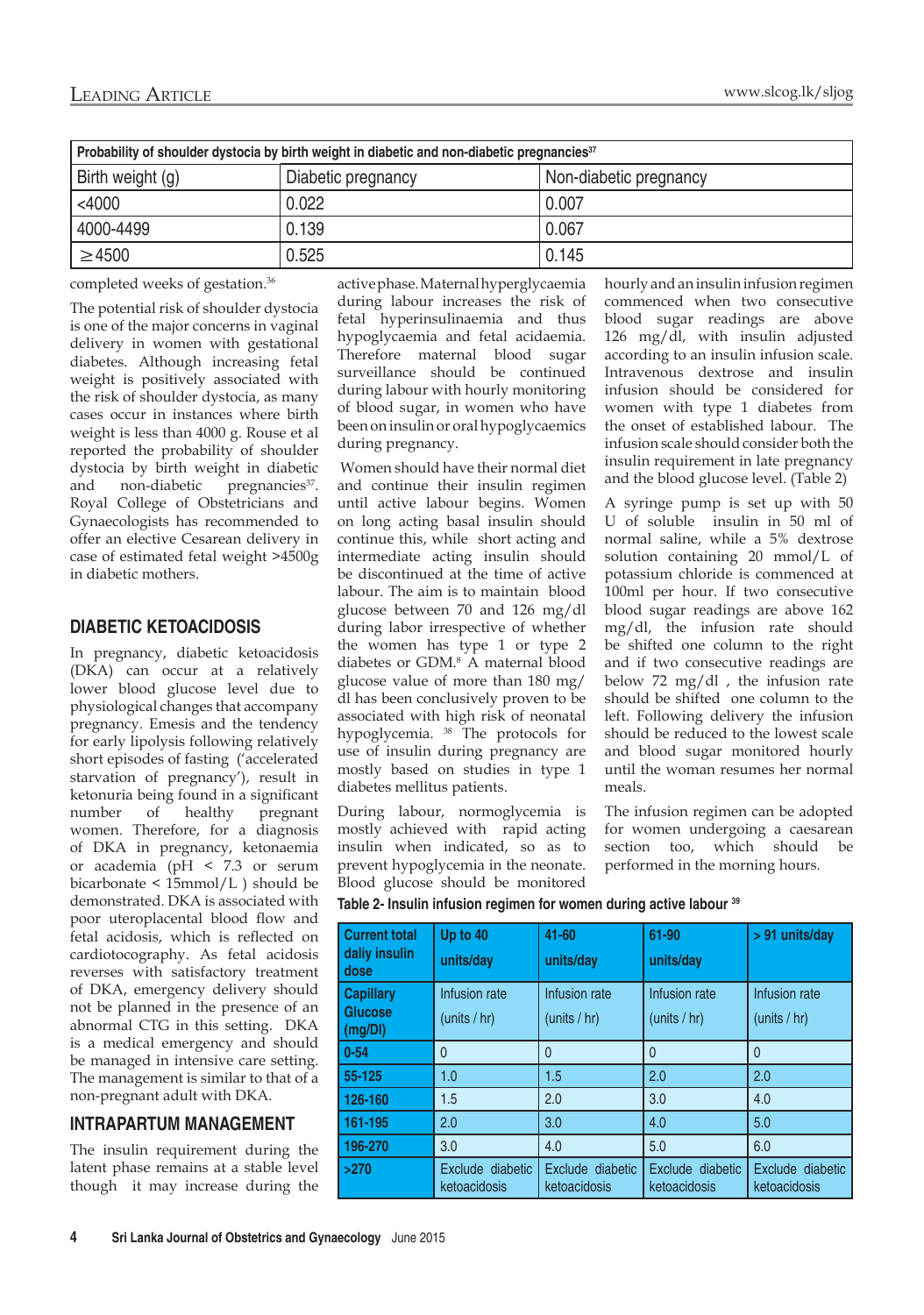| Probability of shoulder dystocia by birth weight in diabetic and non-diabetic pregnancies <sup>37</sup> |                    |                        |  |  |  |
|---------------------------------------------------------------------------------------------------------|--------------------|------------------------|--|--|--|
| Birth weight (g)                                                                                        | Diabetic pregnancy | Non-diabetic pregnancy |  |  |  |
| $<$ 4000                                                                                                | 0.022              | 0.007                  |  |  |  |
| 4000-4499                                                                                               | 0.139              | 0.067                  |  |  |  |
| $\geq 4500$                                                                                             | 0.525              | 0.145                  |  |  |  |

completed weeks of gestation.36

The potential risk of shoulder dystocia is one of the major concerns in vaginal delivery in women with gestational diabetes. Although increasing fetal weight is positively associated with the risk of shoulder dystocia, as many cases occur in instances where birth weight is less than 4000 g. Rouse et al reported the probability of shoulder dystocia by birth weight in diabetic and non-diabetic pregnancies<sup>37</sup>. Royal College of Obstetricians and Gynaecologists has recommended to offer an elective Cesarean delivery in case of estimated fetal weight >4500g in diabetic mothers.

## **DIABETIC KETOACIDOSIS**

In pregnancy, diabetic ketoacidosis (DKA) can occur at a relatively lower blood glucose level due to physiological changes that accompany pregnancy. Emesis and the tendency for early lipolysis following relatively short episodes of fasting ('accelerated starvation of pregnancy'), result in ketonuria being found in a significant number of healthy pregnant women. Therefore, for a diagnosis of DKA in pregnancy, ketonaemia or academia (pH < 7.3 or serum bicarbonate < 15mmol/L ) should be demonstrated. DKA is associated with poor uteroplacental blood flow and fetal acidosis, which is reflected on cardiotocography. As fetal acidosis reverses with satisfactory treatment of DKA, emergency delivery should not be planned in the presence of an abnormal CTG in this setting. DKA is a medical emergency and should be managed in intensive care setting. The management is similar to that of a non-pregnant adult with DKA.

# **INTRAPARTUM MANAGEMENT**

The insulin requirement during the latent phase remains at a stable level though it may increase during the active phase. Maternal hyperglycaemia during labour increases the risk of fetal hyperinsulinaemia and thus hypoglycaemia and fetal acidaemia. Therefore maternal blood sugar surveillance should be continued during labour with hourly monitoring of blood sugar, in women who have been on insulin or oral hypoglycaemics during pregnancy.

 Women should have their normal diet and continue their insulin regimen until active labour begins. Women on long acting basal insulin should continue this, while short acting and intermediate acting insulin should be discontinued at the time of active labour. The aim is to maintain blood glucose between 70 and 126 mg/dl during labor irrespective of whether the women has type 1 or type 2 diabetes or GDM.8 A maternal blood glucose value of more than 180 mg/ dl has been conclusively proven to be associated with high risk of neonatal hypoglycemia. 38 The protocols for use of insulin during pregnancy are mostly based on studies in type 1 diabetes mellitus patients.

During labour, normoglycemia is mostly achieved with rapid acting insulin when indicated, so as to prevent hypoglycemia in the neonate. Blood glucose should be monitored hourly and an insulin infusion regimen commenced when two consecutive blood sugar readings are above 126 mg/dl, with insulin adjusted according to an insulin infusion scale. Intravenous dextrose and insulin infusion should be considered for women with type 1 diabetes from the onset of established labour. The infusion scale should consider both the insulin requirement in late pregnancy and the blood glucose level. (Table 2)

A syringe pump is set up with 50 U of soluble insulin in 50 ml of normal saline, while a 5% dextrose solution containing 20 mmol/L of potassium chloride is commenced at 100ml per hour. If two consecutive blood sugar readings are above 162 mg/dl, the infusion rate should be shifted one column to the right and if two consecutive readings are below 72 mg/dl , the infusion rate should be shifted one column to the left. Following delivery the infusion should be reduced to the lowest scale and blood sugar monitored hourly until the woman resumes her normal meals.

The infusion regimen can be adopted for women undergoing a caesarean section too, which should be performed in the morning hours.

|  | Table 2- Insulin infusion regimen for women during active labour 39 |  |
|--|---------------------------------------------------------------------|--|
|  |                                                                     |  |

| <b>Current total</b><br>daliy insulin<br>dose | Up to 40<br>units/day            | 41-60<br>units/day               | 61-90<br>units/day               | > 91 units/day                   |
|-----------------------------------------------|----------------------------------|----------------------------------|----------------------------------|----------------------------------|
| <b>Capillary</b><br>Glucose<br>(mg/DI)        | Infusion rate<br>(units / hr)    | Infusion rate<br>(units / hr)    | Infusion rate<br>(units / hr)    | Infusion rate<br>(units / hr)    |
| $0 - 54$                                      | $\mathbf{0}$                     | $\theta$                         | $\mathbf{0}$                     | $\overline{0}$                   |
| 55-125                                        | 1.0                              | 1.5                              | 2.0                              | 2.0                              |
| 126-160                                       | 1.5                              | 2.0                              | 3.0                              | 4.0                              |
| 161-195                                       | 2.0                              | 3.0                              | 4.0                              | 5.0                              |
| 196-270                                       | 3.0                              | 4.0                              | 5.0                              | 6.0                              |
| >270                                          | Exclude diabetic<br>ketoacidosis | Exclude diabetic<br>ketoacidosis | Exclude diabetic<br>ketoacidosis | Exclude diabetic<br>ketoacidosis |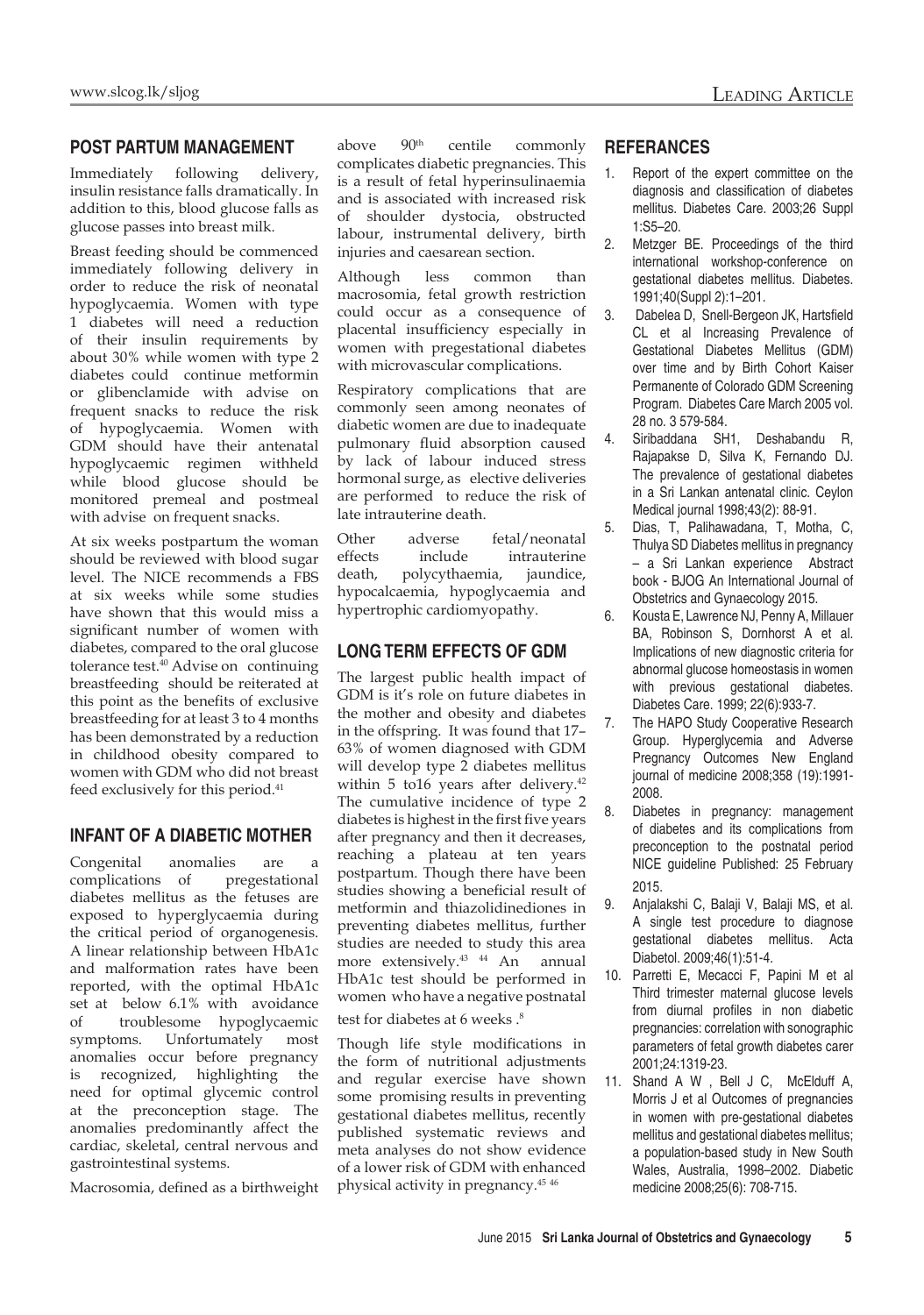### **POST PARTUM MANAGEMENT**

Immediately following delivery, insulin resistance falls dramatically. In addition to this, blood glucose falls as glucose passes into breast milk.

Breast feeding should be commenced immediately following delivery in order to reduce the risk of neonatal hypoglycaemia. Women with type 1 diabetes will need a reduction of their insulin requirements by about 30% while women with type 2 diabetes could continue metformin or glibenclamide with advise on frequent snacks to reduce the risk of hypoglycaemia. Women with GDM should have their antenatal hypoglycaemic regimen withheld while blood glucose should be monitored premeal and postmeal with advise on frequent snacks.

At six weeks postpartum the woman should be reviewed with blood sugar level. The NICE recommends a FBS at six weeks while some studies have shown that this would miss a significant number of women with diabetes, compared to the oral glucose tolerance test.<sup>40</sup> Advise on continuing breastfeeding should be reiterated at this point as the benefits of exclusive breastfeeding for at least 3 to 4 months has been demonstrated by a reduction in childhood obesity compared to women with GDM who did not breast feed exclusively for this period.<sup>41</sup>

## **INFANT OF A DIABETIC MOTHER**

Congenital anomalies are a complications of pregestational diabetes mellitus as the fetuses are exposed to hyperglycaemia during the critical period of organogenesis. A linear relationship between HbA1c and malformation rates have been reported, with the optimal HbA1c set at below 6.1% with avoidance of troublesome hypoglycaemic symptoms. Unfortumately most anomalies occur before pregnancy is recognized, highlighting the need for optimal glycemic control at the preconception stage. The anomalies predominantly affect the cardiac, skeletal, central nervous and gastrointestinal systems.

Macrosomia, defined as a birthweight

above 90th centile commonly complicates diabetic pregnancies. This is a result of fetal hyperinsulinaemia and is associated with increased risk of shoulder dystocia, obstructed labour, instrumental delivery, birth injuries and caesarean section.

Although less common than macrosomia, fetal growth restriction could occur as a consequence of placental insufficiency especially in women with pregestational diabetes with microvascular complications.

Respiratory complications that are commonly seen among neonates of diabetic women are due to inadequate pulmonary fluid absorption caused by lack of labour induced stress hormonal surge, as elective deliveries are performed to reduce the risk of late intrauterine death.

Other adverse fetal/neonatal effects include intrauterine death, polycythaemia, jaundice, hypocalcaemia, hypoglycaemia and hypertrophic cardiomyopathy.

# **LONG TERM EFFECTS OF GDM**

The largest public health impact of GDM is it's role on future diabetes in the mother and obesity and diabetes in the offspring. It was found that 17– 63% of women diagnosed with GDM will develop type 2 diabetes mellitus within 5 to16 years after delivery.<sup>42</sup> The cumulative incidence of type 2 diabetes is highest in the first five years after pregnancy and then it decreases, reaching a plateau at ten years postpartum. Though there have been studies showing a beneficial result of metformin and thiazolidinediones in preventing diabetes mellitus, further studies are needed to study this area more extensively.<sup>43</sup> <sup>44</sup> An annual HbA1c test should be performed in women who have a negative postnatal test for diabetes at 6 weeks.<sup>8</sup>

Though life style modifications in the form of nutritional adjustments and regular exercise have shown some promising results in preventing gestational diabetes mellitus, recently published systematic reviews and meta analyses do not show evidence of a lower risk of GDM with enhanced physical activity in pregnancy.45 <sup>46</sup>

### **REFERANCES**

- 1. Report of the expert committee on the diagnosis and classification of diabetes mellitus. Diabetes Care. 2003;26 Suppl 1:S5–20.
- 2. Metzger BE. Proceedings of the third international workshop-conference on gestational diabetes mellitus. Diabetes. 1991;40(Suppl 2):1–201.
- 3. Dabelea D, Snell-Bergeon JK, Hartsfield CL et al Increasing Prevalence of Gestational Diabetes Mellitus (GDM) over time and by Birth Cohort Kaiser Permanente of Colorado GDM Screening Program. Diabetes Care March 2005 vol. 28 no. 3 579-584.
- 4. Siribaddana SH1, Deshabandu R, Rajapakse D, Silva K, Fernando DJ. The prevalence of gestational diabetes in a Sri Lankan antenatal clinic. Ceylon Medical journal 1998;43(2): 88-91.
- 5. Dias, T, Palihawadana, T, Motha, C, Thulya SD Diabetes mellitus in pregnancy – a Sri Lankan experience Abstract book - BJOG An International Journal of Obstetrics and Gynaecology 2015.
- 6. Kousta E, Lawrence NJ, Penny A, Millauer BA, Robinson S, Dornhorst A et al. Implications of new diagnostic criteria for abnormal glucose homeostasis in women with previous gestational diabetes. Diabetes Care. 1999; 22(6):933-7.
- 7. The HAPO Study Cooperative Research Group. Hyperglycemia and Adverse Pregnancy Outcomes New England journal of medicine 2008;358 (19):1991- 2008.
- 8. Diabetes in pregnancy: management of diabetes and its complications from preconception to the postnatal period NICE guideline Published: 25 February 2015.
- 9. Anjalakshi C, Balaji V, Balaji MS, et al. A single test procedure to diagnose gestational diabetes mellitus. Acta Diabetol. 2009;46(1):51-4.
- 10. Parretti E, Mecacci F, Papini M et al Third trimester maternal glucose levels from diurnal profiles in non diabetic pregnancies: correlation with sonographic parameters of fetal growth diabetes carer 2001;24:1319-23.
- 11. Shand A W , Bell J C, McElduff A, Morris J et al Outcomes of pregnancies in women with pre-gestational diabetes mellitus and gestational diabetes mellitus; a population-based study in New South Wales, Australia, 1998–2002. Diabetic medicine 2008;25(6): 708-715.